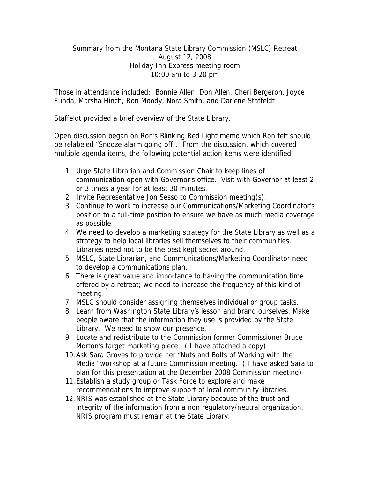## Summary from the Montana State Library Commission (MSLC) Retreat August 12, 2008 Holiday Inn Express meeting room 10:00 am to 3:20 pm

Those in attendance included: Bonnie Allen, Don Allen, Cheri Bergeron, Joyce Funda, Marsha Hinch, Ron Moody, Nora Smith, and Darlene Staffeldt

Staffeldt provided a brief overview of the State Library.

Open discussion began on Ron's Blinking Red Light memo which Ron felt should be relabeled "Snooze alarm going off". From the discussion, which covered multiple agenda items, the following potential action items were identified:

- 1. Urge State Librarian and Commission Chair to keep lines of communication open with Governor's office. Visit with Governor at least 2 or 3 times a year for at least 30 minutes.
- 2. Invite Representative Jon Sesso to Commission meeting(s).
- 3. Continue to work to increase our Communications/Marketing Coordinator's position to a full-time position to ensure we have as much media coverage as possible.
- 4. We need to develop a marketing strategy for the State Library as well as a strategy to help local libraries sell themselves to their communities. Libraries need not to be the best kept secret around.
- 5. MSLC, State Librarian, and Communications/Marketing Coordinator need to develop a communications plan.
- 6. There is great value and importance to having the communication time offered by a retreat; we need to increase the frequency of this kind of meeting.
- 7. MSLC should consider assigning themselves individual or group tasks.
- 8. Learn from Washington State Library's lesson and brand ourselves. Make people aware that the information they use is provided by the State Library. We need to show our presence.
- 9. Locate and redistribute to the Commission former Commissioner Bruce Morton's target marketing piece. ( I have attached a copy)
- 10.Ask Sara Groves to provide her "Nuts and Bolts of Working with the Media" workshop at a future Commission meeting. ( I have asked Sara to plan for this presentation at the December 2008 Commission meeting)
- 11.Establish a study group or Task Force to explore and make recommendations to improve support of local community libraries.
- 12.NRIS was established at the State Library because of the trust and integrity of the information from a non regulatory/neutral organization. NRIS program must remain at the State Library.